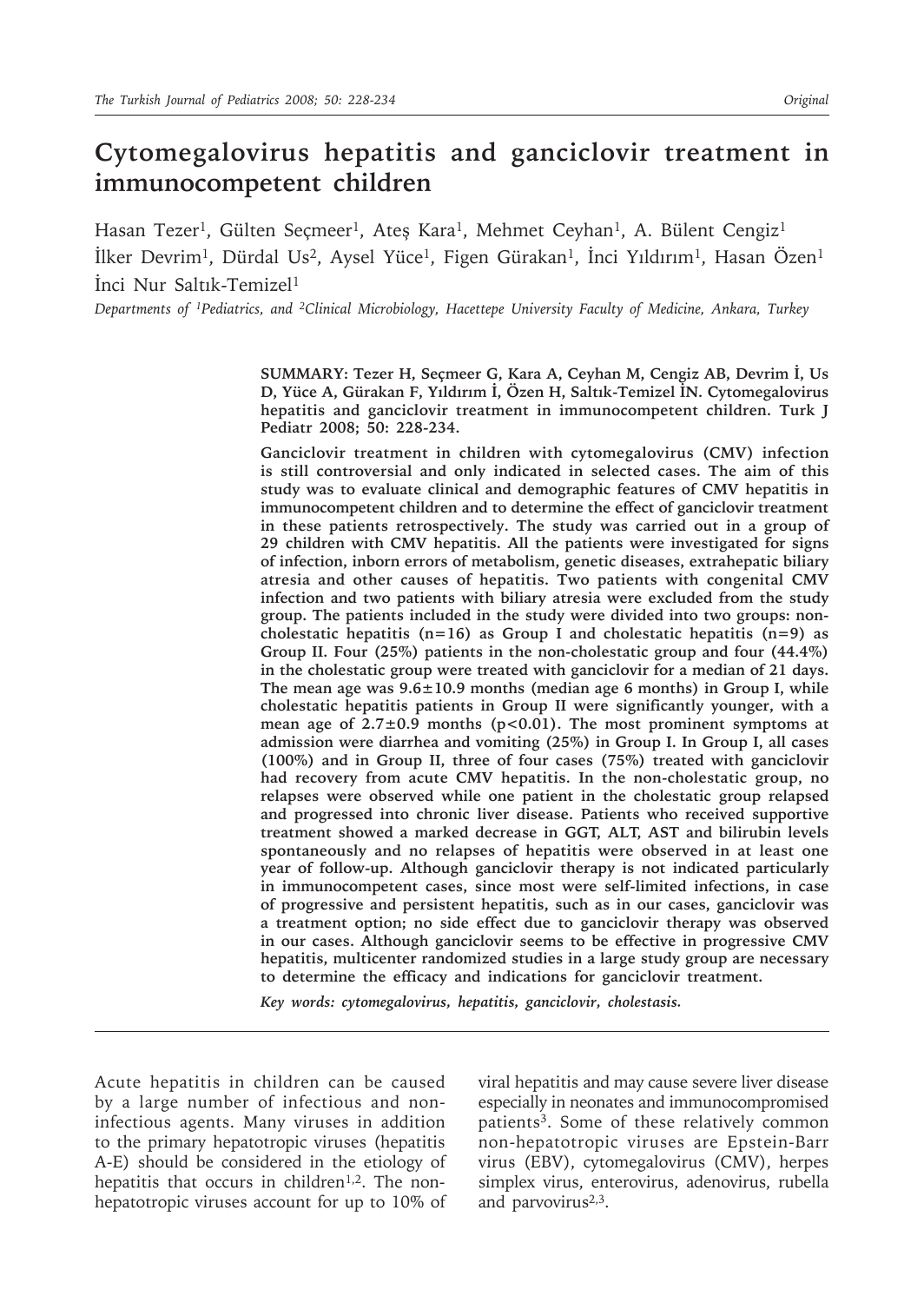# **Cytomegalovirus hepatitis and ganciclovir treatment in immunocompetent children**

Hasan Tezer<sup>1</sup>, Gülten Seçmeer<sup>1</sup>, Ateş Kara<sup>1</sup>, Mehmet Ceyhan<sup>1</sup>, A. Bülent Cengiz<sup>1</sup> İlker Devrim<sup>1</sup>, Dürdal Us<sup>2</sup>, Aysel Yüce<sup>1</sup>, Figen Gürakan<sup>1</sup>, İnci Yıldırım<sup>1</sup>, Hasan Özen<sup>1</sup> İnci Nur Saltık-Temizel1

*Departments of 1Pediatrics, and 2Clinical Microbiology, Hacettepe University Faculty of Medicine, Ankara, Turkey*

**SUMMARY: Tezer H, Seçmeer G, Kara A, Ceyhan M, Cengiz AB, Devrim İ, Us D, Yüce A, Gürakan F, Yıldırım İ, Özen H, Saltık-Temizel İN. Cytomegalovirus hepatitis and ganciclovir treatment in immunocompetent children. Turk J Pediatr 2008; 50: 228-234.**

**Ganciclovir treatment in children with cytomegalovirus (CMV) infection is still controversial and only indicated in selected cases. The aim of this study was to evaluate clinical and demographic features of CMV hepatitis in immunocompetent children and to determine the effect of ganciclovir treatment in these patients retrospectively. The study was carried out in a group of 29 children with CMV hepatitis. All the patients were investigated for signs of infection, inborn errors of metabolism, genetic diseases, extrahepatic biliary atresia and other causes of hepatitis. Two patients with congenital CMV infection and two patients with biliary atresia were excluded from the study group. The patients included in the study were divided into two groups: noncholestatic hepatitis (n=16) as Group I and cholestatic hepatitis (n=9) as Group II. Four (25%) patients in the non-cholestatic group and four (44.4%) in the cholestatic group were treated with ganciclovir for a median of 21 days. The mean age was 9.6±10.9 months (median age 6 months) in Group I, while cholestatic hepatitis patients in Group II were significantly younger, with a mean age of 2.7±0.9 months (p<0.01). The most prominent symptoms at admission were diarrhea and vomiting (25%) in Group I. In Group I, all cases (100%) and in Group II, three of four cases (75%) treated with ganciclovir had recovery from acute CMV hepatitis. In the non-cholestatic group, no relapses were observed while one patient in the cholestatic group relapsed and progressed into chronic liver disease. Patients who received supportive treatment showed a marked decrease in GGT, ALT, AST and bilirubin levels spontaneously and no relapses of hepatitis were observed in at least one year of follow-up. Although ganciclovir therapy is not indicated particularly in immunocompetent cases, since most were self-limited infections, in case of progressive and persistent hepatitis, such as in our cases, ganciclovir was a treatment option; no side effect due to ganciclovir therapy was observed in our cases. Although ganciclovir seems to be effective in progressive CMV hepatitis, multicenter randomized studies in a large study group are necessary to determine the efficacy and indications for ganciclovir treatment.**

*Key words: cytomegalovirus, hepatitis, ganciclovir, cholestasis.*

Acute hepatitis in children can be caused by a large number of infectious and noninfectious agents. Many viruses in addition to the primary hepatotropic viruses (hepatitis A-E) should be considered in the etiology of hepatitis that occurs in children<sup>1,2</sup>. The nonhepatotropic viruses account for up to 10% of viral hepatitis and may cause severe liver disease especially in neonates and immunocompromised patients<sup>3</sup>. Some of these relatively common non-hepatotropic viruses are Epstein-Barr virus (EBV), cytomegalovirus (CMV), herpes simplex virus, enterovirus, adenovirus, rubella and parvovirus $2,3$ .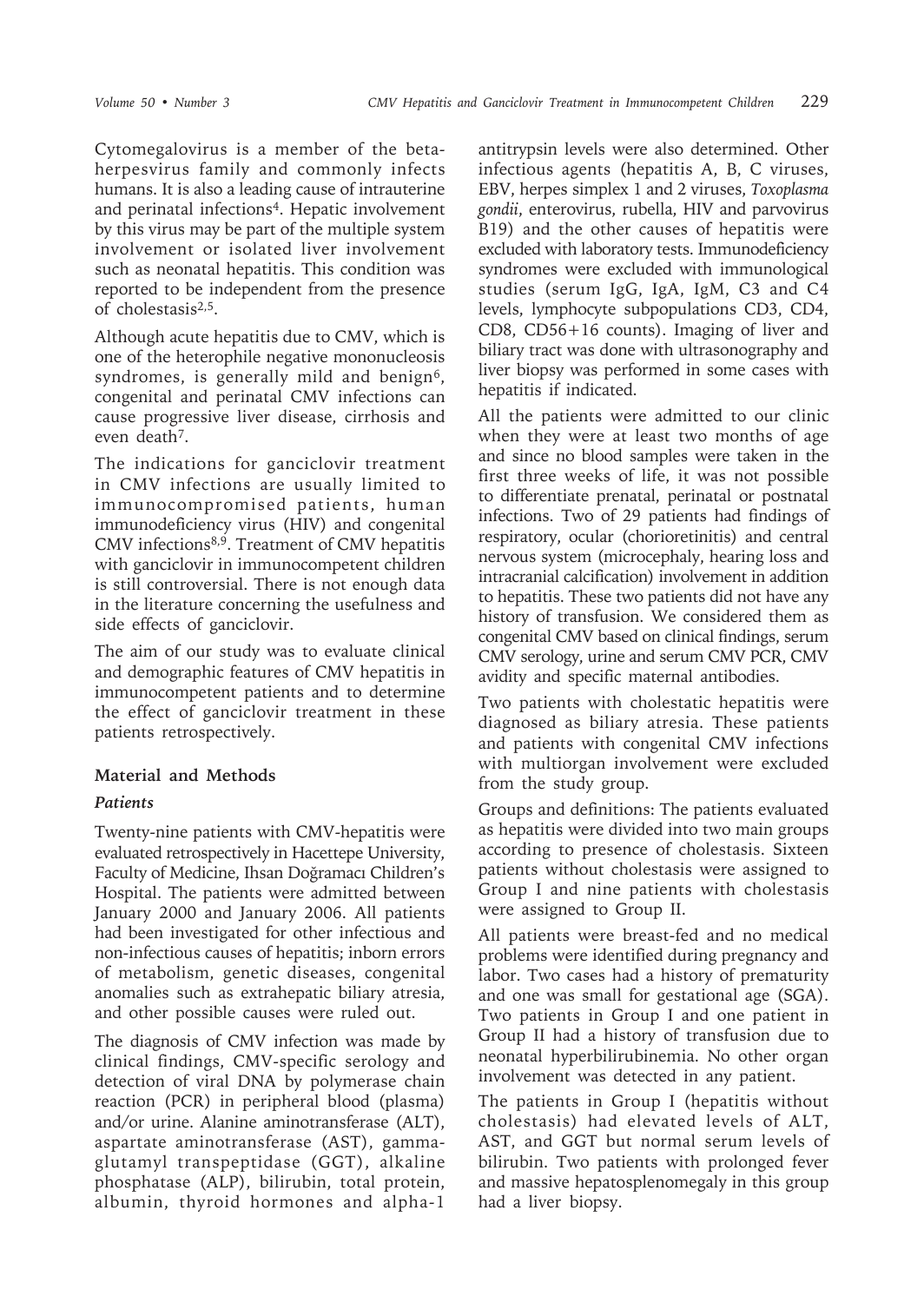Cytomegalovirus is a member of the betaherpesvirus family and commonly infects humans. It is also a leading cause of intrauterine and perinatal infections<sup>4</sup>. Hepatic involvement by this virus may be part of the multiple system involvement or isolated liver involvement such as neonatal hepatitis. This condition was reported to be independent from the presence of cholestasis2,5.

Although acute hepatitis due to CMV, which is one of the heterophile negative mononucleosis syndromes, is generally mild and benign<sup>6</sup>, congenital and perinatal CMV infections can cause progressive liver disease, cirrhosis and even death<sup>7</sup>.

The indications for ganciclovir treatment in CMV infections are usually limited to immunocompromised patients, human immunodeficiency virus (HIV) and congenital CMV infections8,9. Treatment of CMV hepatitis with ganciclovir in immunocompetent children is still controversial. There is not enough data in the literature concerning the usefulness and side effects of ganciclovir.

The aim of our study was to evaluate clinical and demographic features of CMV hepatitis in immunocompetent patients and to determine the effect of ganciclovir treatment in these patients retrospectively.

## **Material and Methods**

## *Patients*

Twenty-nine patients with CMV-hepatitis were evaluated retrospectively in Hacettepe University, Faculty of Medicine, Ihsan Doğramacı Children's Hospital. The patients were admitted between January 2000 and January 2006. All patients had been investigated for other infectious and non-infectious causes of hepatitis; inborn errors of metabolism, genetic diseases, congenital anomalies such as extrahepatic biliary atresia, and other possible causes were ruled out.

The diagnosis of CMV infection was made by clinical findings, CMV-specific serology and detection of viral DNA by polymerase chain reaction (PCR) in peripheral blood (plasma) and/or urine. Alanine aminotransferase (ALT), aspartate aminotransferase (AST), gammaglutamyl transpeptidase (GGT), alkaline phosphatase (ALP), bilirubin, total protein, albumin, thyroid hormones and alpha-1

antitrypsin levels were also determined. Other infectious agents (hepatitis A, B, C viruses, EBV, herpes simplex 1 and 2 viruses, *Toxoplasma gondii*, enterovirus, rubella, HIV and parvovirus B19) and the other causes of hepatitis were excluded with laboratory tests. Immunodeficiency syndromes were excluded with immunological studies (serum IgG, IgA, IgM, C3 and C4 levels, lymphocyte subpopulations CD3, CD4, CD8, CD56+16 counts). Imaging of liver and biliary tract was done with ultrasonography and liver biopsy was performed in some cases with hepatitis if indicated.

All the patients were admitted to our clinic when they were at least two months of age and since no blood samples were taken in the first three weeks of life, it was not possible to differentiate prenatal, perinatal or postnatal infections. Two of 29 patients had findings of respiratory, ocular (chorioretinitis) and central nervous system (microcephaly, hearing loss and intracranial calcification) involvement in addition to hepatitis. These two patients did not have any history of transfusion. We considered them as congenital CMV based on clinical findings, serum CMV serology, urine and serum CMV PCR, CMV avidity and specific maternal antibodies.

Two patients with cholestatic hepatitis were diagnosed as biliary atresia. These patients and patients with congenital CMV infections with multiorgan involvement were excluded from the study group.

Groups and definitions: The patients evaluated as hepatitis were divided into two main groups according to presence of cholestasis. Sixteen patients without cholestasis were assigned to Group I and nine patients with cholestasis were assigned to Group II.

All patients were breast-fed and no medical problems were identified during pregnancy and labor. Two cases had a history of prematurity and one was small for gestational age (SGA). Two patients in Group I and one patient in Group II had a history of transfusion due to neonatal hyperbilirubinemia. No other organ involvement was detected in any patient.

The patients in Group I (hepatitis without cholestasis) had elevated levels of ALT, AST, and GGT but normal serum levels of bilirubin. Two patients with prolonged fever and massive hepatosplenomegaly in this group had a liver biopsy.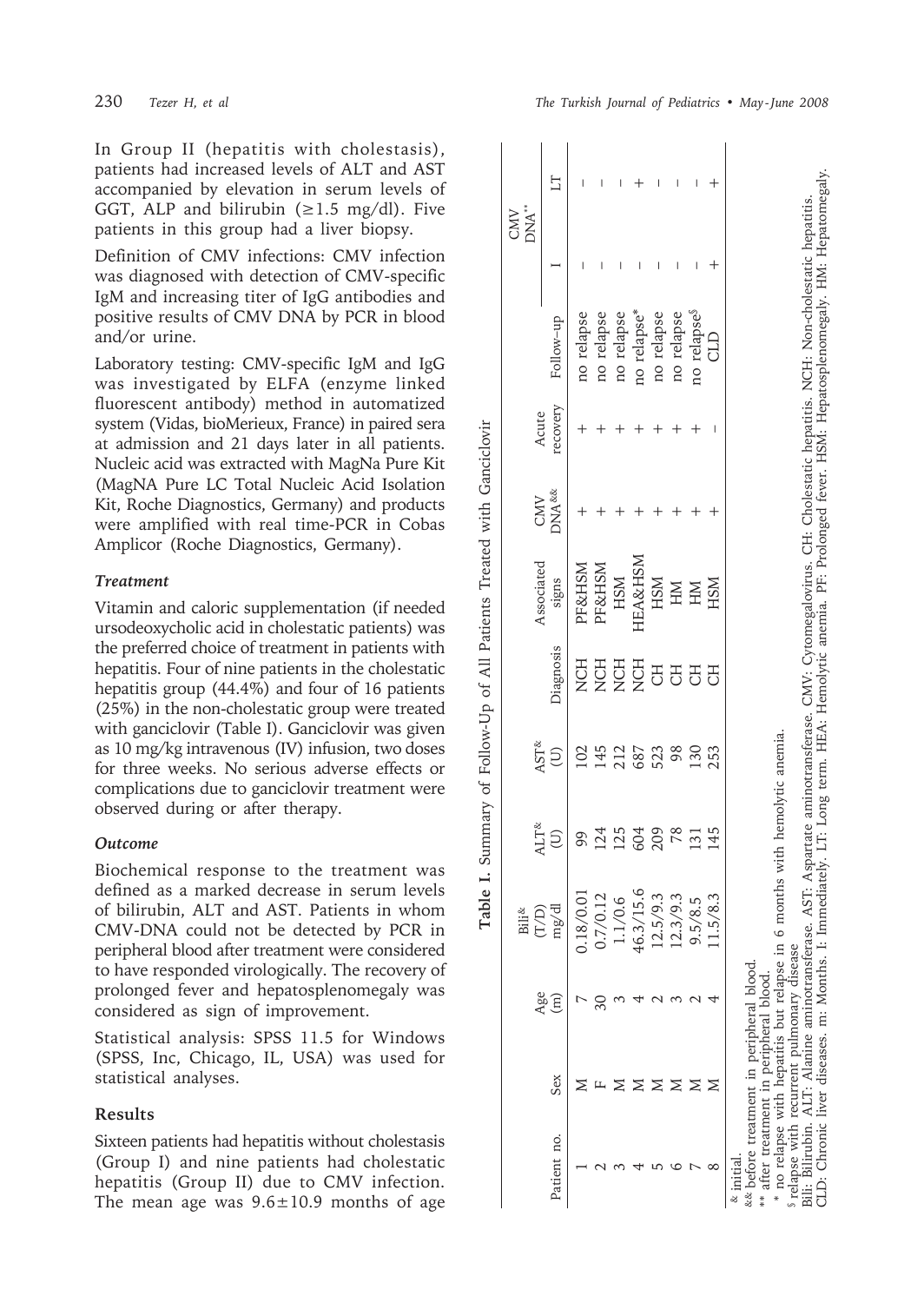In Group II (hepatitis with cholestasis), patients had increased levels of ALT and AST accompanied by elevation in serum levels of GGT, ALP and bilirubin ( $\geq 1.5$  mg/dl). Five patients in this group had a liver biopsy.

Definition of CMV infections: CMV infection was diagnosed with detection of CMV-specific IgM and increasing titer of IgG antibodies and positive results of CMV DNA by PCR in blood and/or urine.

Laboratory testing: CMV-specific IgM and IgG was investigated by ELFA (enzyme linked fluorescent antibody) method in automatized system (Vidas, bioMerieux, France) in paired sera at admission and 21 days later in all patients. Nucleic acid was extracted with MagNa Pure Kit (MagNA Pure LC Total Nucleic Acid Isolation Kit, Roche Diagnostics, Germany) and products were amplified with real time-PCR in Cobas Amplicor (Roche Diagnostics, Germany).

## *Treatment*

Vitamin and caloric supplementation (if needed ursodeoxycholic acid in cholestatic patients) was the preferred choice of treatment in patients with hepatitis. Four of nine patients in the cholestatic hepatitis group (44.4%) and four of 16 patients (25%) in the non-cholestatic group were treated with ganciclovir (Table I). Ganciclovir was given as 10 mg/kg intravenous (IV) infusion, two doses for three weeks. No serious adverse effects or complications due to ganciclovir treatment were observed during or after therapy.

## *Outcome*

Biochemical response to the treatment was defined as a marked decrease in serum levels of bilirubin, ALT and AST. Patients in whom CMV-DNA could not be detected by PCR in peripheral blood after treatment were considered to have responded virologically. The recovery of prolonged fever and hepatosplenomegaly was considered as sign of improvement.

Statistical analysis: SPSS 11.5 for Windows (SPSS, Inc, Chicago, IL, USA) was used for statistical analyses.

## **Results**

Sixteen patients had hepatitis without cholestasis (Group I) and nine patients had cholestatic hepatitis (Group II) due to CMV infection. The mean age was  $9.6 \pm 10.9$  months of age

|                                                                                                                                                                                                      |     |          | T/D)<br>Bili <sup>&amp;</sup>                                              |                       | <b>AST&amp;</b> |                  | Associated          | CMV                       | Acute    |                                                                                                               | $\begin{array}{lcl} \textnormal{CMV} & \\ \textnormal{DNA}^* & \end{array}$ |
|------------------------------------------------------------------------------------------------------------------------------------------------------------------------------------------------------|-----|----------|----------------------------------------------------------------------------|-----------------------|-----------------|------------------|---------------------|---------------------------|----------|---------------------------------------------------------------------------------------------------------------|-----------------------------------------------------------------------------|
| Patient no.                                                                                                                                                                                          | Sex | Age<br>Ē | mg/dl                                                                      | $\sum_{n=1}^{\infty}$ | $\bigoplus$     | <b>Diagnosis</b> | signs               | DNA <sup>&amp;&amp;</sup> | recovery | Follow-up                                                                                                     | E                                                                           |
|                                                                                                                                                                                                      |     |          | 0.018/0.01                                                                 | 99                    | $\overline{0}$  | <b>HON</b>       | PF&HSM              |                           |          | no relapse                                                                                                    |                                                                             |
|                                                                                                                                                                                                      |     |          | 0.7/0.12                                                                   | 124<br>125<br>604     | 145             |                  | PF&HSM              |                           |          | no relapse                                                                                                    |                                                                             |
|                                                                                                                                                                                                      |     |          | 1.1/0.6                                                                    |                       | 212             |                  | <b>HSM</b>          |                           |          | no relapse                                                                                                    |                                                                             |
|                                                                                                                                                                                                      |     |          | 46.3/15.6                                                                  |                       | 687             | <b>BBBB</b>      | <b>HEA&amp;HSM</b>  |                           |          | no relapse*                                                                                                   |                                                                             |
|                                                                                                                                                                                                      |     |          | 12.5/9.3                                                                   | 209                   | 523             |                  | <b>HSM</b>          |                           |          | no relapse                                                                                                    |                                                                             |
|                                                                                                                                                                                                      |     |          | 12.3/9.3                                                                   | 78                    | 98              | FO               | $\overline{\rm HM}$ |                           |          | no relapse                                                                                                    |                                                                             |
|                                                                                                                                                                                                      |     |          | 9.5/8.5                                                                    | 131                   | 130             | FO               | НM                  |                           |          | no relapse <sup>s</sup>                                                                                       |                                                                             |
| ∝                                                                                                                                                                                                    |     |          | 1.5/8.3                                                                    | 145                   | 253             | FO               | <b>HSM</b>          |                           |          | GLC                                                                                                           | ╅                                                                           |
| Bili: Bilirubin. ALT: Alanine aminotransferase. AST<br>relapse with recurrent pulmonary disease<br>&& before treatment in peripheral blood.<br>** after treatment in peripheral blood.<br>& initial. |     |          | * no relapse with hepatitis but relapse in 6 months with hemolytic anemia. |                       |                 |                  |                     |                           |          | : Aspartate aminotransferase. CMV: Cytomegalovirus. CH: Cholestatic hepatitis. NCH: Non-cholestatic hepatitis |                                                                             |

**Table I.** Summary of Follow-Up of All Patients Treated with Ganciclovir

Table I. Summary of Follow-Up of

All Patients Treated with Ganciclovir

CLD: Chronic liver diseases. m: Months. I: Immediately. LT: Long term. HEA: Hemolytic anemia. PF: Prolonged fever. HSM: Hepatosplenomegaly. HM: Hepatomegaly.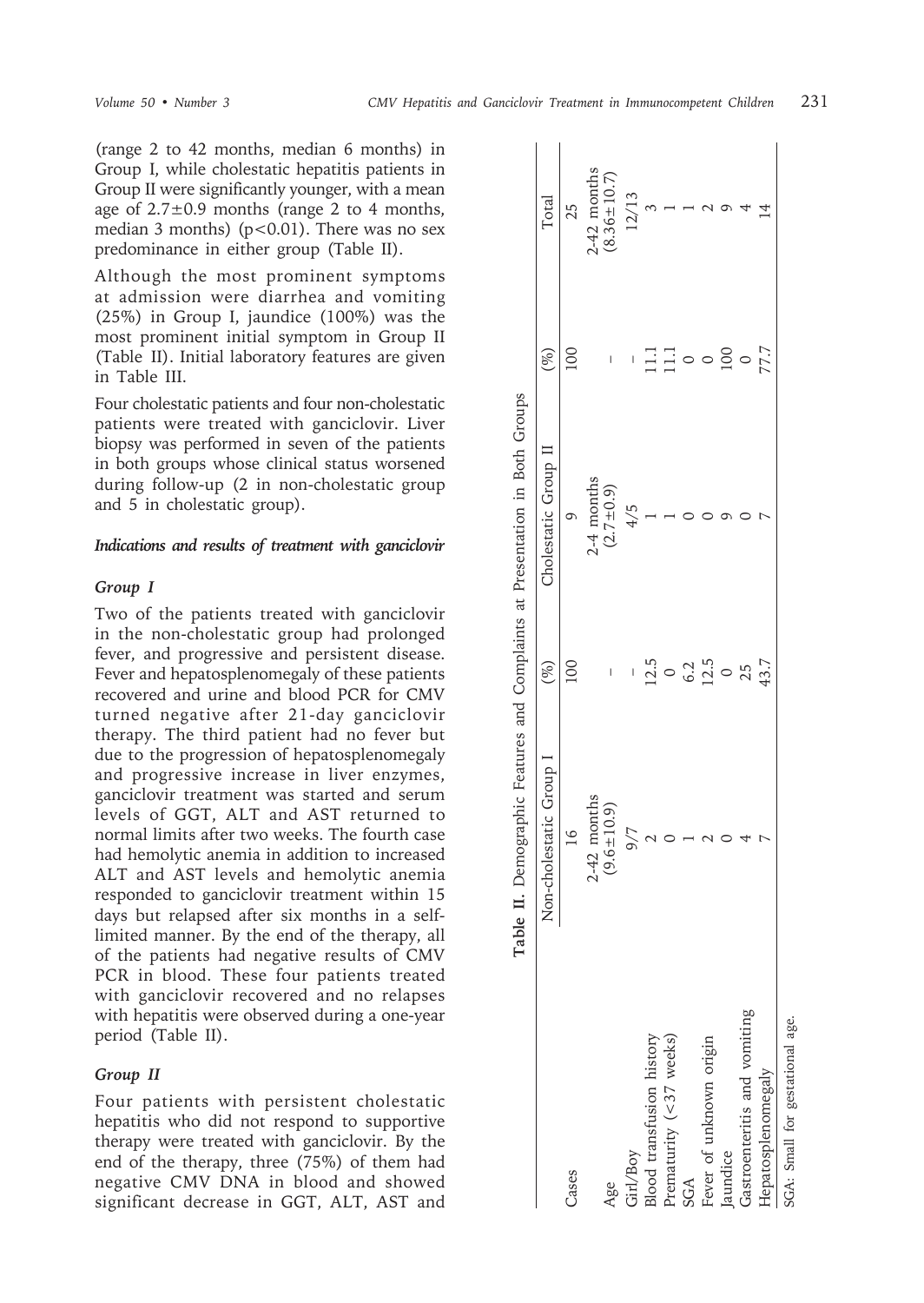(range 2 to 42 months, median 6 months) in Group I, while cholestatic hepatitis patients in Group II were significantly younger, with a mean age of  $2.7\pm0.9$  months (range 2 to 4 months, median 3 months)  $(p<0.01)$ . There was no sex predominance in either group (Table II).

Although the most prominent symptoms at admission were diarrhea and vomiting (25%) in Group I, jaundice (100%) was the most prominent initial symptom in Group II (Table II). Initial laboratory features are given in Table III.

Four cholestatic patients and four non-cholestatic patients were treated with ganciclovir. Liver biopsy was performed in seven of the patients in both groups whose clinical status worsened during follow-up (2 in non-cholestatic group and 5 in cholestatic group).

#### *Indications and results of treatment with ganciclovir*

#### *Group I*

Two of the patients treated with ganciclovir in the non-cholestatic group had prolonged fever, and progressive and persistent disease. Fever and hepatosplenomegaly of these patients recovered and urine and blood PCR for CMV turned negative after 21-day ganciclovir therapy. The third patient had no fever but due to the progression of hepatosplenomegaly and progressive increase in liver enzymes, ganciclovir treatment was started and serum levels of GGT, ALT and AST returned to normal limits after two weeks. The fourth case had hemolytic anemia in addition to increased ALT and AST levels and hemolytic anemia responded to ganciclovir treatment within 15 days but relapsed after six months in a selflimited manner. By the end of the therapy, all of the patients had negative results of CMV PCR in blood. These four patients treated with ganciclovir recovered and no relapses with hepatitis were observed during a one-year period (Table II).

## *Group II*

Four patients with persistent cholestatic hepatitis who did not respond to supportive therapy were treated with ganciclovir. By the end of the therapy, three (75%) of them had negative CMV DNA in blood and showed significant decrease in GGT, ALT, AST and

|                                       | Table II.               |                          | Demographic Features and Complaints at Presentation in Both Groups |                     |                   |
|---------------------------------------|-------------------------|--------------------------|--------------------------------------------------------------------|---------------------|-------------------|
|                                       | Non-cholestatic Group I | $(\%)$                   | Cholestatic Group II                                               |                     | Total             |
| Cases                                 | $\frac{1}{2}$           | $\Xi$                    |                                                                    | $_{\rm 50}$         | 25                |
|                                       | $2-42$ months           |                          | 2-4 months                                                         |                     | 2-42 months       |
| Age                                   | $(9.6 \pm 10.9)$        |                          | $(2.7 + 0.9)$                                                      |                     | $(8.36 \pm 10.7)$ |
|                                       |                         | $\overline{\phantom{a}}$ | 4/5                                                                | $\overline{1}$      | 12/13             |
| Girl/Boy<br>Blood transfusion history |                         |                          |                                                                    |                     |                   |
| Prematurity $(<37$ weeks)             |                         | $\frac{12.5}{0}$         |                                                                    | $\frac{11}{11}$ 0 0 |                   |
| SGA                                   |                         |                          |                                                                    |                     |                   |
| Fever of unknown origin               |                         | $6.2$<br>12.5            |                                                                    |                     |                   |
| <i>s</i> undice                       |                         |                          |                                                                    | $^{100}$            |                   |
| Gastroenteritis and vomiting          |                         | 25                       |                                                                    |                     |                   |
| Hepatosplenomegaly                    |                         | 43.7                     |                                                                    | 77.7                |                   |
| SGA: Small for gestational age.       |                         |                          |                                                                    |                     |                   |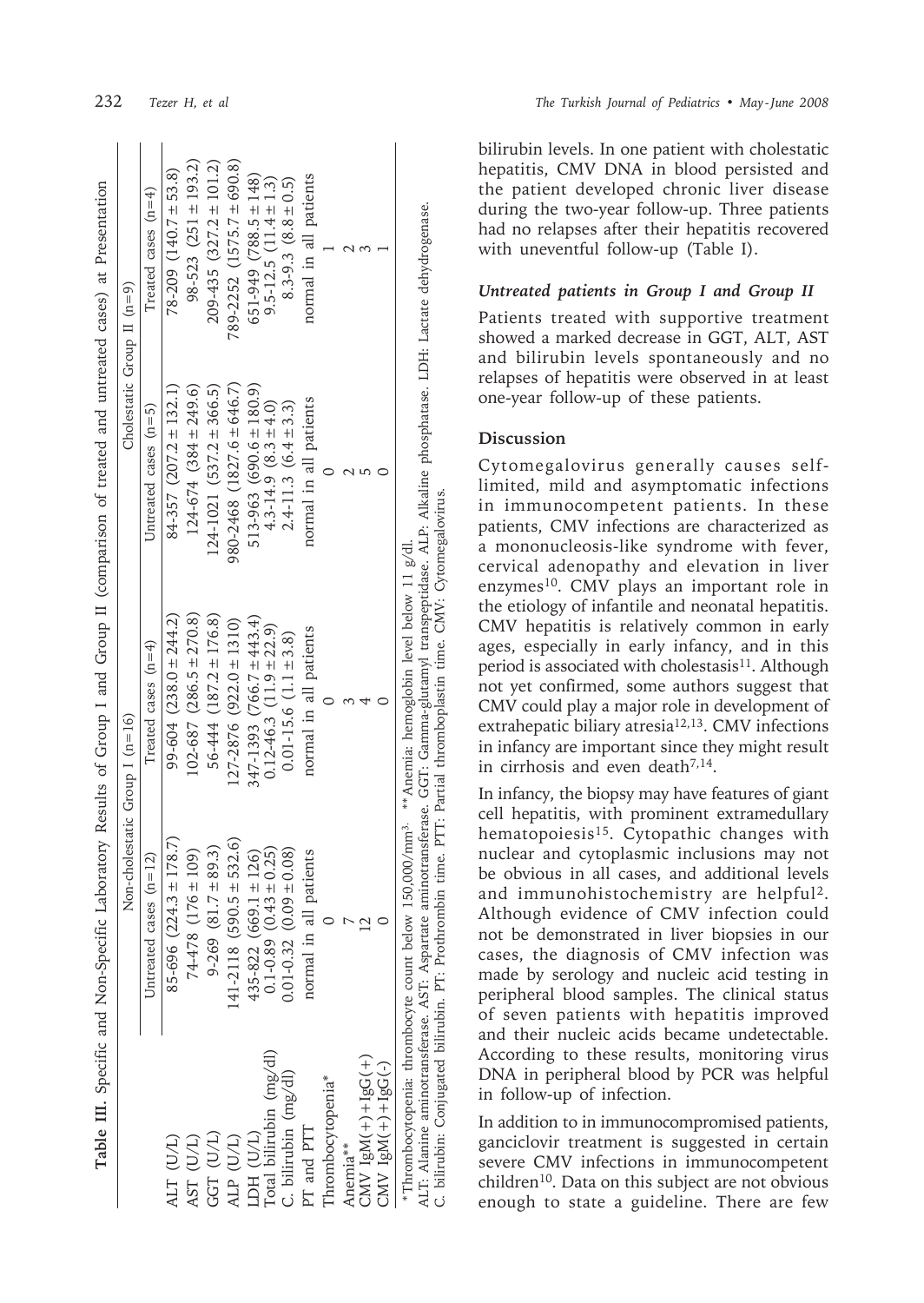|                                                                               |                                      | Non-cholestatic Group I (n=16)  | Cholestatic Group II $(n=9)$      |                                   |
|-------------------------------------------------------------------------------|--------------------------------------|---------------------------------|-----------------------------------|-----------------------------------|
|                                                                               | Untreated cases $(n=12)$             | Treated cases $(n=4)$           | Untreated cases $(n=5)$           | Treated cases $(n=4)$             |
| ALT (U/L)                                                                     | 178.7)<br>$85 - 696$ $(224.3 \pm$    | $99-604$ $(238.0 \pm 244.2)$    | $84-357$ $(207.2 \pm 132.1)$      | $78-209$ $(140.7 \pm 53.8)$       |
| AST (U/L)                                                                     | 109)<br>74-478 (176 ±                | $102 - 687$ (286.5 $\pm$ 270.8) | $124 - 674$ $(384 \pm 249.6)$     | $98 - 523$ $(251 \pm 193.2)$      |
| GGT (U/L)                                                                     | 89.3)<br>$9-269$ $(81.7 \pm 1)$      | $56-444$ $(187.2 \pm 176.8)$    | $124-1021$ $(537.2 \pm 366.5)$    | $209-435(327.2 \pm 101.2)$        |
| ALP (U/L)                                                                     | $141 - 2118$ $(590.5 \pm 532.6)$     | $127 - 2876$ (922.0 ± 1310)     | $980 - 2468$ $(1827.6 \pm 646.7)$ | $789 - 2252$ $(1575.7 \pm 690.8)$ |
| LDH (U/L)                                                                     | $435 - 822 (669.1 \pm 126)$          | 347-1393 $(766.7 \pm 443.4)$    | $513-963(690.6 \pm 180.9)$        | $651-949$ $(788.5 \pm 148)$       |
| Total bilirubin (mg/dl)                                                       | 0.25)<br>$0.1 - 0.89$ $(0.43 \pm 1)$ | $0.12 - 46.3$ $(11.9 \pm 22.9)$ | $4.3 - 14.9$ $(8.3 \pm 4.0)$      | $9.5 - 12.5$ $(11.4 \pm 1.3)$     |
| C. bilirubin (mg/dl)                                                          | 0.08<br>$0.01 - 0.32$ $(0.09 \pm$    | $0.01 - 15.6$ $(1.1 \pm 3.8)$   | $2.4 - 11.3$ $(6.4 \pm 3.3)$      | $8.3 - 9.3$ $(8.8 \pm 0.5)$       |
| PT and PTT                                                                    | normal in all patients               | normal in all patients          | normal in all patients            | normal in all patients            |
| Thrombocytopenia*                                                             |                                      |                                 |                                   |                                   |
| Anemia**                                                                      |                                      |                                 |                                   |                                   |
| $CNN$ $IgM$ $(+)$                                                             |                                      |                                 |                                   |                                   |
| $C_{\rm M}$ $\left(\frac{1}{2} + 1.8\right)$ $\left(\frac{1}{2} + 1.8\right)$ |                                      |                                 |                                   |                                   |

232 *Tezer H, et al The Turkish Journal of Pediatrics • May - June 2008*

bilirubin levels. In one patient with cholestatic hepatitis, CMV DNA in blood persisted and the patient developed chronic liver disease during the two-year follow-up. Three patients had no relapses after their hepatitis recovered with uneventful follow-up (Table I).

## *Untreated patients in Group I and Group II*

Patients treated with supportive treatment showed a marked decrease in GGT, ALT, AST and bilirubin levels spontaneously and no relapses of hepatitis were observed in at least one-year follow-up of these patients.

## **Discussion**

Cytomegalovirus generally causes selflimited, mild and asymptomatic infections in immunocompetent patients. In these patients, CMV infections are characterized as a mononucleosis-like syndrome with fever, cervical adenopathy and elevation in liver enzymes10. CMV plays an important role in the etiology of infantile and neonatal hepatitis. CMV hepatitis is relatively common in early ages, especially in early infancy, and in this period is associated with cholestasis<sup>11</sup>. Although not yet confirmed, some authors suggest that CMV could play a major role in development of extrahepatic biliary atresia12,13. CMV infections in infancy are important since they might result in cirrhosis and even death7,14.

In infancy, the biopsy may have features of giant cell hepatitis, with prominent extramedullary hematopoiesis15. Cytopathic changes with nuclear and cytoplasmic inclusions may not be obvious in all cases, and additional levels and immunohistochemistry are helpful2. Although evidence of CMV infection could not be demonstrated in liver biopsies in our cases, the diagnosis of CMV infection was made by serology and nucleic acid testing in peripheral blood samples. The clinical status of seven patients with hepatitis improved and their nucleic acids became undetectable. According to these results, monitoring virus DNA in peripheral blood by PCR was helpful in follow-up of infection.

In addition to in immunocompromised patients, ganciclovir treatment is suggested in certain severe CMV infections in immunocompetent children10. Data on this subject are not obvious enough to state a guideline. There are few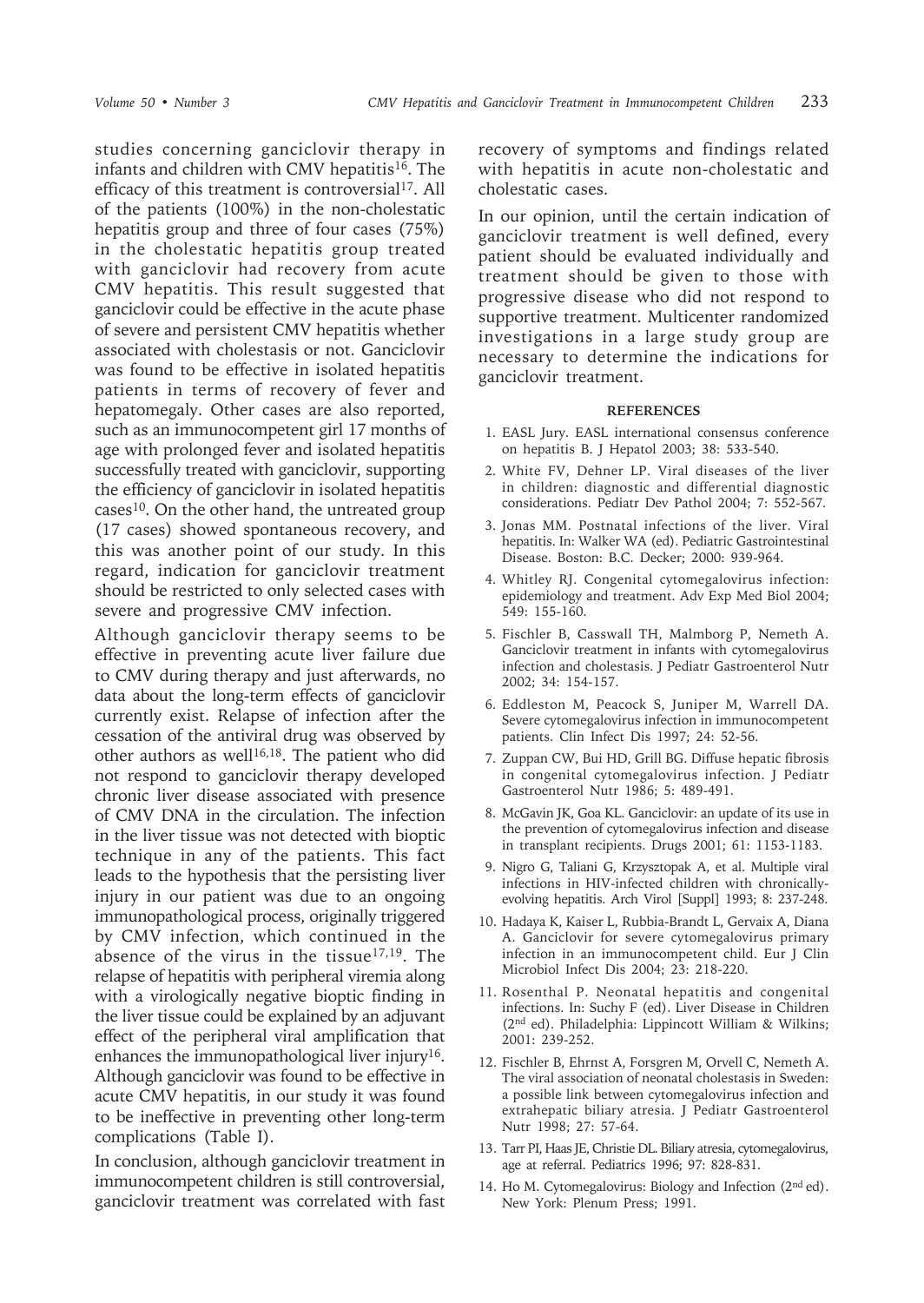studies concerning ganciclovir therapy in infants and children with CMV hepatitis<sup>16</sup>. The efficacy of this treatment is controversial<sup>17</sup>. All of the patients (100%) in the non-cholestatic hepatitis group and three of four cases (75%) in the cholestatic hepatitis group treated with ganciclovir had recovery from acute CMV hepatitis. This result suggested that ganciclovir could be effective in the acute phase of severe and persistent CMV hepatitis whether associated with cholestasis or not. Ganciclovir was found to be effective in isolated hepatitis patients in terms of recovery of fever and hepatomegaly. Other cases are also reported, such as an immunocompetent girl 17 months of age with prolonged fever and isolated hepatitis successfully treated with ganciclovir, supporting the efficiency of ganciclovir in isolated hepatitis cases10. On the other hand, the untreated group (17 cases) showed spontaneous recovery, and this was another point of our study. In this regard, indication for ganciclovir treatment should be restricted to only selected cases with severe and progressive CMV infection.

Although ganciclovir therapy seems to be effective in preventing acute liver failure due to CMV during therapy and just afterwards, no data about the long-term effects of ganciclovir currently exist. Relapse of infection after the cessation of the antiviral drug was observed by other authors as well<sup>16,18</sup>. The patient who did not respond to ganciclovir therapy developed chronic liver disease associated with presence of CMV DNA in the circulation. The infection in the liver tissue was not detected with bioptic technique in any of the patients. This fact leads to the hypothesis that the persisting liver injury in our patient was due to an ongoing immunopathological process, originally triggered by CMV infection, which continued in the absence of the virus in the tissue<sup>17,19</sup>. The relapse of hepatitis with peripheral viremia along with a virologically negative bioptic finding in the liver tissue could be explained by an adjuvant effect of the peripheral viral amplification that enhances the immunopathological liver injury<sup>16</sup>. Although ganciclovir was found to be effective in acute CMV hepatitis, in our study it was found to be ineffective in preventing other long-term complications (Table I).

In conclusion, although ganciclovir treatment in immunocompetent children is still controversial, ganciclovir treatment was correlated with fast recovery of symptoms and findings related with hepatitis in acute non-cholestatic and cholestatic cases.

In our opinion, until the certain indication of ganciclovir treatment is well defined, every patient should be evaluated individually and treatment should be given to those with progressive disease who did not respond to supportive treatment. Multicenter randomized investigations in a large study group are necessary to determine the indications for ganciclovir treatment.

#### **REFERENCES**

- 1. EASL Jury. EASL international consensus conference on hepatitis B. J Hepatol 2003; 38: 533-540.
- 2. White FV, Dehner LP. Viral diseases of the liver in children: diagnostic and differential diagnostic considerations. Pediatr Dev Pathol 2004; 7: 552-567.
- 3. Jonas MM. Postnatal infections of the liver. Viral hepatitis. In: Walker WA (ed). Pediatric Gastrointestinal Disease. Boston: B.C. Decker; 2000: 939-964.
- 4. Whitley RJ. Congenital cytomegalovirus infection: epidemiology and treatment. Adv Exp Med Biol 2004; 549: 155-160.
- 5. Fischler B, Casswall TH, Malmborg P, Nemeth A. Ganciclovir treatment in infants with cytomegalovirus infection and cholestasis. J Pediatr Gastroenterol Nutr 2002; 34: 154-157.
- 6. Eddleston M, Peacock S, Juniper M, Warrell DA. Severe cytomegalovirus infection in immunocompetent patients. Clin Infect Dis 1997; 24: 52-56.
- 7. Zuppan CW, Bui HD, Grill BG. Diffuse hepatic fibrosis in congenital cytomegalovirus infection. J Pediatr Gastroenterol Nutr 1986; 5: 489-491.
- 8. McGavin JK, Goa KL. Ganciclovir: an update of its use in the prevention of cytomegalovirus infection and disease in transplant recipients. Drugs 2001; 61: 1153-1183.
- 9. Nigro G, Taliani G, Krzysztopak A, et al. Multiple viral infections in HIV-infected children with chronicallyevolving hepatitis. Arch Virol [Suppl] 1993; 8: 237-248.
- 10. Hadaya K, Kaiser L, Rubbia-Brandt L, Gervaix A, Diana A. Ganciclovir for severe cytomegalovirus primary infection in an immunocompetent child. Eur J Clin Microbiol Infect Dis 2004; 23: 218-220.
- 11. Rosenthal P. Neonatal hepatitis and congenital infections. In: Suchy F (ed). Liver Disease in Children (2nd ed). Philadelphia: Lippincott William & Wilkins; 2001: 239-252.
- 12. Fischler B, Ehrnst A, Forsgren M, Orvell C, Nemeth A. The viral association of neonatal cholestasis in Sweden: a possible link between cytomegalovirus infection and extrahepatic biliary atresia. J Pediatr Gastroenterol Nutr 1998; 27: 57-64.
- 13. Tarr PI, Haas JE, Christie DL. Biliary atresia, cytomegalovirus, age at referral. Pediatrics 1996; 97: 828-831.
- 14. Ho M. Cytomegalovirus: Biology and Infection (2nd ed). New York: Plenum Press; 1991.